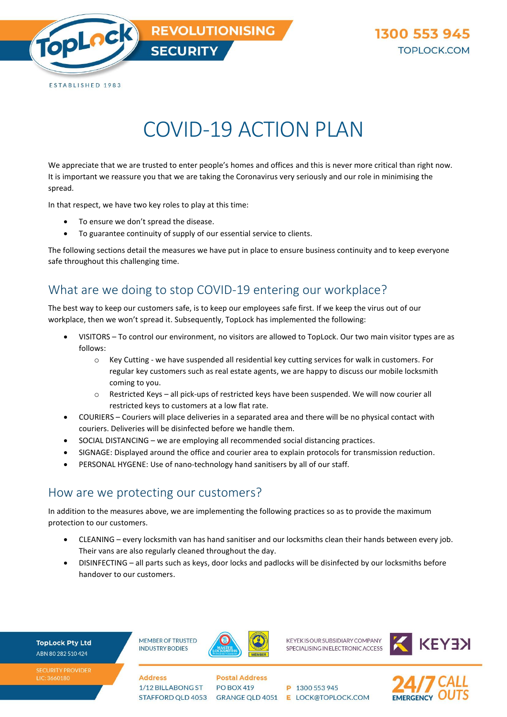

## COVID-19 ACTION PLAN

We appreciate that we are trusted to enter people's homes and offices and this is never more critical than right now. It is important we reassure you that we are taking the Coronavirus very seriously and our role in minimising the spread.

In that respect, we have two key roles to play at this time:

- To ensure we don't spread the disease.
- To guarantee continuity of supply of our essential service to clients.

The following sections detail the measures we have put in place to ensure business continuity and to keep everyone safe throughout this challenging time.

## What are we doing to stop COVID-19 entering our workplace?

The best way to keep our customers safe, is to keep our employees safe first. If we keep the virus out of our workplace, then we won't spread it. Subsequently, TopLock has implemented the following:

- VISITORS To control our environment, no visitors are allowed to TopLock. Our two main visitor types are as follows:
	- $\circ$  Key Cutting we have suspended all residential key cutting services for walk in customers. For regular key customers such as real estate agents, we are happy to discuss our mobile locksmith coming to you.
	- $\circ$  Restricted Keys all pick-ups of restricted keys have been suspended. We will now courier all restricted keys to customers at a low flat rate.
- COURIERS Couriers will place deliveries in a separated area and there will be no physical contact with couriers. Deliveries will be disinfected before we handle them.
- SOCIAL DISTANCING we are employing all recommended social distancing practices.
- SIGNAGE: Displayed around the office and courier area to explain protocols for transmission reduction.
- PERSONAL HYGENE: Use of nano-technology hand sanitisers by all of our staff.

## How are we protecting our customers?

In addition to the measures above, we are implementing the following practices so as to provide the maximum protection to our customers.

- CLEANING every locksmith van has hand sanitiser and our locksmiths clean their hands between every job. Their vans are also regularly cleaned throughout the day.
- DISINFECTING all parts such as keys, door locks and padlocks will be disinfected by our locksmiths before handover to our customers.

**TopLock Pty Ltd** ABN 80 282 510 424

**MEMBER OF TRUSTED INDUSTRY BODIES** 

1/12 BILLABONG ST

STAFFORD QLD 4053

**Address** 



**KEYEK IS OUR SUBSIDIARY COMPANY** SPECIALISING IN ELECTRONIC ACCESS



**Postal Address PO BOX 419** 

P 1300 553 945